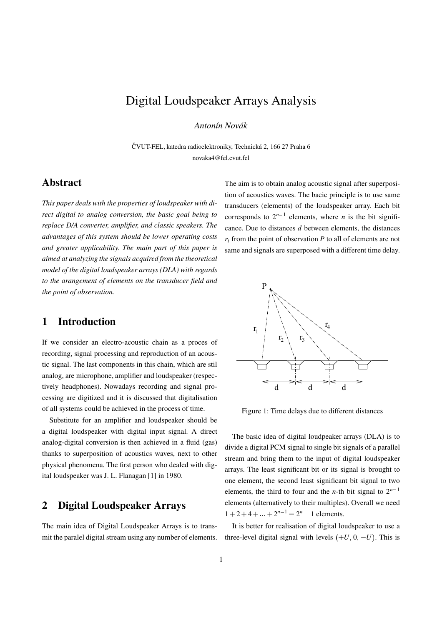# Digital Loudspeaker Arrays Analysis

*Antonín Novák*

ČVUT-FEL, katedra radioelektroniky, Technická 2, 166 27 Praha 6 novaka4@fel.cvut.fel

### **Abstract**

*This paper deals with the properties of loudspeaker with direct digital to analog conversion, the basic goal being to replace D/A converter, amplifier, and classic speakers. The advantages of this system should be lower operating costs and greater applicability. The main part of this paper is aimed at analyzing the signals acquired from the theoretical model of the digital loudspeaker arrays (DLA) with regards to the arangement of elements on the transducer field and the point of observation.*

# **1 Introduction**

If we consider an electro-acoustic chain as a proces of recording, signal processing and reproduction of an acoustic signal. The last components in this chain, which are stil analog, are microphone, amplifier and loudspeaker (respectively headphones). Nowadays recording and signal processing are digitized and it is discussed that digitalisation of all systems could be achieved in the process of time.

Substitute for an amplifier and loudspeaker should be a digital loudspeaker with digital input signal. A direct analog-digital conversion is then achieved in a fluid (gas) thanks to superposition of acoustics waves, next to other physical phenomena. The first person who dealed with digital loudspeaker was J. L. Flanagan [1] in 1980.

# **2 Digital Loudspeaker Arrays**

The main idea of Digital Loudspeaker Arrays is to transmit the paralel digital stream using any number of elements. The aim is to obtain analog acoustic signal after superposition of acoustics waves. The bacic principle is to use same transducers (elements) of the loudspeaker array. Each bit corresponds to  $2^{n-1}$  elements, where *n* is the bit significance. Due to distances *d* between elements, the distances  $r_i$  from the point of observation  $P$  to all of elements are not same and signals are superposed with a different time delay.



Figure 1: Time delays due to different distances

The basic idea of digital loudpeaker arrays (DLA) is to divide a digital PCM signal to single bit signals of a parallel stream and bring them to the input of digital loudspeaker arrays. The least significant bit or its signal is brought to one element, the second least significant bit signal to two elements, the third to four and the *n*-th bit signal to  $2^{n-1}$ elements (alternatively to their multiples). Overall we need  $1 + 2 + 4 + \dots + 2^{n-1} = 2^n - 1$  elements.

It is better for realisation of digital loudspeaker to use a three-level digital signal with levels  $(+U, 0, -U)$ . This is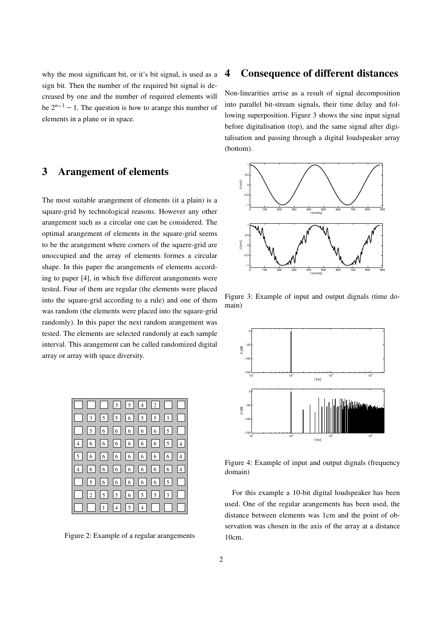why the most significant bit, or it's bit signal, is used as a sign bit. Then the number of the required bit signal is decreased by one and the number of required elements will be  $2^{n-1} - 1$ . The question is how to arange this number of elements in a plane or in space.

# **3 Arangement of elements**

The most suitable arangement of elements (it a plain) is a square-grid by technological reasons. However any other arangement such as a circular one can be considered. The optimal arangement of elements in the square-grid seems to be the arangement where corners of the squere-grid are unoccupied and the array of elements formes a circular shape. In this paper the arangements of elements according to paper [4], in which five different arangements were tested. Four of them are regular (the elements were placed into the square-grid according to a rule) and one of them was random (the elements were placed into the square-grid randomly). In this paper the next random arangement was tested. The elements are selected randomly at each sample interval. This arangement can be called randomized digital array or array with space diversity.

|    |  |  |  |                       | $3556533$ |
|----|--|--|--|-----------------------|-----------|
|    |  |  |  |                       |           |
|    |  |  |  | $4$ 6 6 6 6 6 6 5 4   |           |
|    |  |  |  | 5666666664            |           |
|    |  |  |  | $4 6 6 6 6 6 6 6 6 4$ |           |
|    |  |  |  | 56666665              |           |
| П. |  |  |  | $2$ 5 5 6 5 5 3 3     |           |
|    |  |  |  |                       |           |

Figure 2: Example of a regular arangements

#### **4 Consequence of different distances**

Non-linearities arrise as a result of signal decomposition into parallel bit-stream signals, their time delay and following superposition. Figure 3 shows the sine input signal before digitalisation (top), and the same signal after digitalisation and passing through a digital loudspeaker array (bottom).



Figure 3: Example of input and output dignals (time domain)



Figure 4: Example of input and output dignals (frequency domain)

For this example a 10-bit digital loudspeaker has been used. One of the regular arangements has been used, the distance between elements was 1cm and the point of observation was chosen in the axis of the array at a distance 10cm.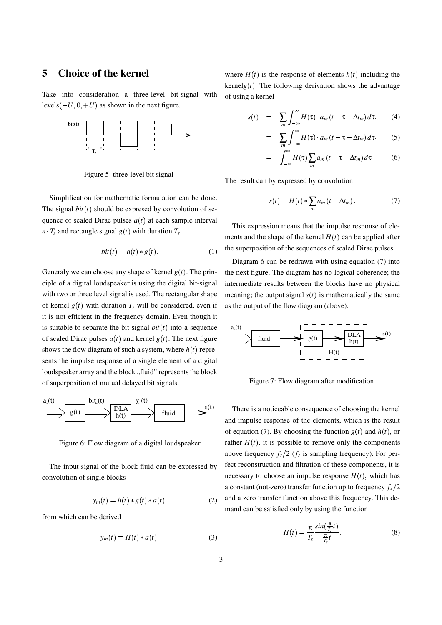## **5 Choice of the kernel**

Take into consideration a three-level bit-signal with levels  $(-U, 0, +U)$  as shown in the next figure.



Figure 5: three-level bit signal

Simplification for mathematic formulation can be done. The signal  $bit(t)$  should be expresed by convolution of sequence of scaled Dirac pulses  $a(t)$  at each sample interval  $n \cdot T_s$  and rectangle signal  $g(t)$  with duration  $T_s$ 

$$
bit(t) = a(t) * g(t).
$$
 (1)

Generaly we can choose any shape of kernel  $g(t)$ . The principle of a digital loudspeaker is using the digital bit-signal with two or three level signal is used. The rectangular shape of kernel  $g(t)$  with duration  $T_s$  will be considered, even if it is not efficient in the frequency domain. Even though it is suitable to separate the bit-signal  $bit(t)$  into a sequence of scaled Dirac pulses  $a(t)$  and kernel  $g(t)$ . The next figure shows the flow diagram of such a system, where  $h(t)$  represents the impulse response of a single element of a digital loudspeaker array and the block "fluid" represents the block of superposition of mutual delayed bit signals.



Figure 6: Flow diagram of a digital loudspeaker

The input signal of the block fluid can be expressed by convolution of single blocks

$$
y_m(t) = h(t) * g(t) * a(t), \qquad (2)
$$

from which can be derived

$$
y_m(t) = H(t) * a(t), \tag{3}
$$

where  $H(t)$  is the response of elements  $h(t)$  including the kernel $g(t)$ . The following derivation shows the advantage of using a kernel

$$
s(t) = \sum_{m} \int_{-\infty}^{\infty} H(\tau) \cdot a_m \left( t - \tau - \Delta t_m \right) d\tau. \tag{4}
$$

$$
= \sum_{m} \int_{-\infty}^{\infty} H(\tau) \cdot a_m \left( t - \tau - \Delta t_m \right) d\tau. \tag{5}
$$

$$
= \int_{-\infty}^{\infty} H(\tau) \sum_{m} a_m \left( t - \tau - \Delta t_m \right) d\tau \tag{6}
$$

The result can by expressed by convolution

$$
s(t) = H(t) * \sum_{m} a_m (t - \Delta t_m).
$$
 (7)

This expression means that the impulse response of elements and the shape of the kernel  $H(t)$  can be applied after the superposition of the sequences of scaled Dirac pulses.

Diagram 6 can be redrawn with using equation (7) into the next figure. The diagram has no logical coherence; the intermediate results between the blocks have no physical meaning; the output signal  $s(t)$  is mathematically the same as the output of the flow diagram (above).



Figure 7: Flow diagram after modification

There is a noticeable consequence of choosing the kernel and impulse response of the elements, which is the result of equation (7). By choosing the function  $g(t)$  and  $h(t)$ , or rather  $H(t)$ , it is possible to remove only the components above frequency  $f_s/2$  ( $f_s$  is sampling frequency). For perfect reconstruction and filtration of these components, it is necessary to choose an impulse response  $H(t)$ , which has a constant (not-zero) transfer function up to frequency  $f_s/2$ and a zero transfer function above this frequency. This demand can be satisfied only by using the function

$$
H(t) = \frac{\pi}{T_s} \frac{\sin(\frac{\pi}{T_s}t)}{\frac{\pi}{T_s}t}.
$$
 (8)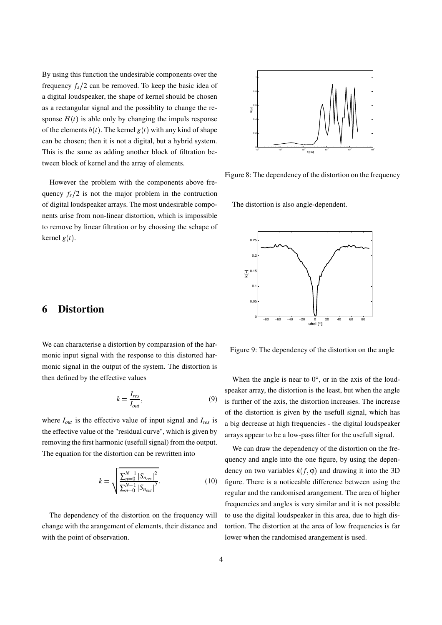By using this function the undesirable components over the frequency  $f_s/2$  can be removed. To keep the basic idea of a digital loudspeaker, the shape of kernel should be chosen as a rectangular signal and the possiblity to change the response  $H(t)$  is able only by changing the impuls response of the elements  $h(t)$ . The kernel  $g(t)$  with any kind of shape can be chosen; then it is not a digital, but a hybrid system. This is the same as adding another block of filtration between block of kernel and the array of elements.

However the problem with the components above frequency  $f_s/2$  is not the major problem in the contruction of digital loudspeaker arrays. The most undesirable components arise from non-linear distortion, which is impossible to remove by linear filtration or by choosing the schape of kernel  $g(t)$ .

#### **6 Distortion**

We can characterise a distortion by comparasion of the harmonic input signal with the response to this distorted harmonic signal in the output of the system. The distortion is then defined by the effective values

$$
k = \frac{I_{res}}{I_{out}},\tag{9}
$$

where *Iout* is the effective value of input signal and *Ires* is the effective value of the "residual curve", which is given by removing the first harmonic (usefull signal) from the output. The equation for the distortion can be rewritten into

$$
k = \sqrt{\frac{\sum_{n=0}^{N-1} |S_{n_{res}}|^2}{\sum_{n=0}^{N-1} |S_{n_{out}}|^2}}.
$$
 (10)

The dependency of the distortion on the frequency will change with the arangement of elements, their distance and with the point of observation.



Figure 8: The dependency of the distortion on the frequency

The distortion is also angle-dependent.



Figure 9: The dependency of the distortion on the angle

When the angle is near to  $0^{\circ}$ , or in the axis of the loudspeaker array, the distortion is the least, but when the angle is further of the axis, the distortion increases. The increase of the distortion is given by the usefull signal, which has a big decrease at high frequencies - the digital loudspeaker arrays appear to be a low-pass filter for the usefull signal.

We can draw the dependency of the distortion on the frequency and angle into the one figure, by using the dependency on two variables  $k(f, \varphi)$  and drawing it into the 3D figure. There is a noticeable difference between using the regular and the randomised arangement. The area of higher frequencies and angles is very similar and it is not possible to use the digital loudspeaker in this area, due to high distortion. The distortion at the area of low frequencies is far lower when the randomised arangement is used.